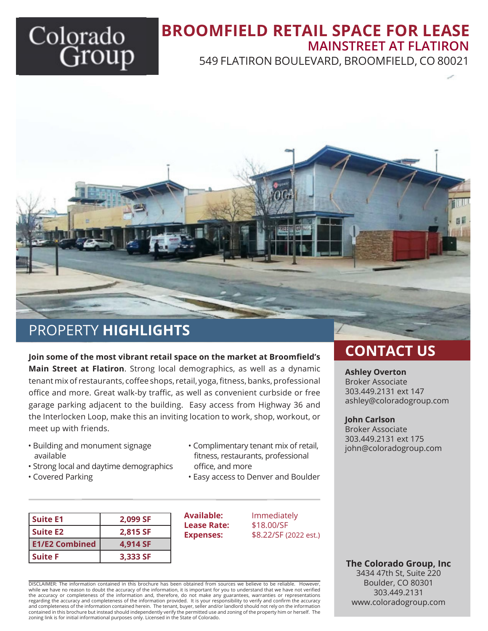# Colorado

## **BROOMFIELD RETAIL SPACE FOR LEASE** 549 FLATIRON BOULEVARD, BROOMFIELD, CO 80021 **MAINSTREET AT FLATIRON**



# PROPERTY **HIGHLIGHTS**

**Join some of the most vibrant retail space on the market at Broomfield's Main Street at Flatiron**. Strong local demographics, as well as a dynamic tenant mix of restaurants, coffee shops, retail, yoga, fitness, banks, professional office and more. Great walk-by traffic, as well as convenient curbside or free garage parking adjacent to the building. Easy access from Highway 36 and the Interlocken Loop, make this an inviting location to work, shop, workout, or meet up with friends.

- Building and monument signage available
- Strong local and daytime demographics
- Covered Parking

| • Complimentary tenant mix of retail, |
|---------------------------------------|
| fitness, restaurants, professional    |
| office, and more                      |

• Easy access to Denver and Boulder

| Suite E1              | 2,099 SF |
|-----------------------|----------|
| Suite E2              | 2,815 SF |
| <b>E1/E2 Combined</b> | 4,914 SF |
| l Suite F             | 3,333 SF |

**Lease Rate:** 

**Available:** Immediately<br> **Lease Rate:** \$18.00/SF **Expenses:** \$8.22/SF (2022 est.)

DISCLAIMER: The information contained in this brochure has been obtained from sources we believe to be reliable. However, while we have no reason to doubt the accuracy of the information, it is important for you to understand that we have not verified<br>the accuracy or completeness of the information and, therefore, do not make any guarantees, regarding the accuracy and completeness of the information provided. It is your responsibility to verify and confirm the accuracy and completeness of the information contained herein. The tenant, buyer, seller and/or landlord should not rely on the information<br>contained in this brochure but instead should independently verify the permitted use and z zoning link is for initial informational purposes only. Licensed in the State of Colorado.

## **CONTACT US**

#### **Ashley Overton**

Broker Associate 303.449.2131 ext 147 ashley@coloradogroup.com

#### **John Carlson**

Broker Associate 303.449.2131 ext 175 john@coloradogroup.com

**The Colorado Group, Inc** 3434 47th St, Suite 220 Boulder, CO 80301 303.449.2131 www.coloradogroup.com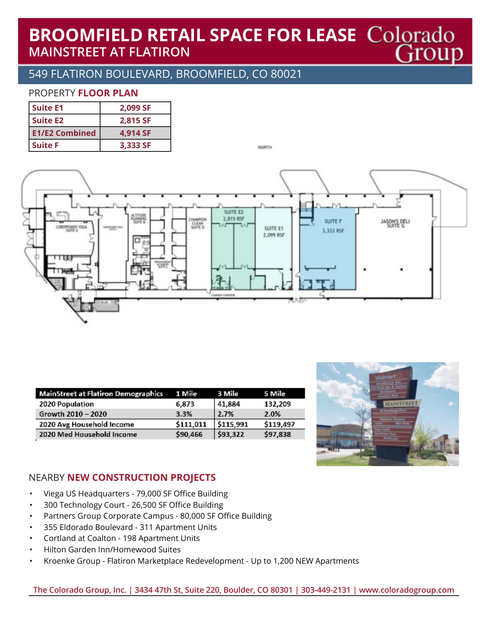## **BROOMFIELD RETAIL SPACE FOR LEASE Colorado MAINSTREET AT FLATIRON** Group

## 549 FLATIRON BOULEVARD, BROOMFIELD, CO 80021

#### PROPERTY **FLOOR PLAN**

| <b>Suite E1</b>       | 2,099 SF |
|-----------------------|----------|
| Suite E2              | 2,815 SF |
| <b>E1/E2 Combined</b> | 4,914 SF |
| <b>Suite F</b>        | 3,333 SF |

NORTH



| <b>MainStreet at Flatiron Demographics</b> | 1 Mile    | 3 Mile    | 5 Mile    |
|--------------------------------------------|-----------|-----------|-----------|
| 2020 Population                            | 6,873     | 41,884    | 132,209   |
| Growth 2010 - 2020                         | 3.3%      | 12.7%     | 2.0%      |
| 2020 Avg Household Income                  | \$111,011 | \$115,991 | \$119,497 |
| 2020 Med Household Income                  | \$90,466  | \$93,322  | \$97,838  |



#### NEARBY **NEW CONSTRUCTION PROJECTS**

- Viega US Headquarters 79,000 SF Office Building
- 300 Technology Court 26,500 SF Office Building
- Partners Group Corporate Campus 80,000 SF Office Building
- 355 Eldorado Boulevard 311 Apartment Units
- Cortland at Coalton 198 Apartment Units
- Hilton Garden Inn/Homewood Suites
- Kroenke Group Flatiron Marketplace Redevelopment Up to 1,200 NEW Apartments